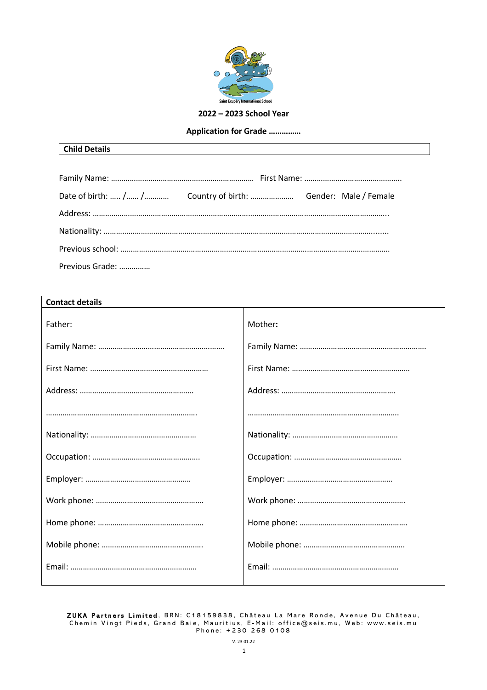

### **2022 – 2023 School Year**

### **Application for Grade ……………**

| Date of birth:  /  /  Country of birth:  Gender: Male / Female |  |  |  |
|----------------------------------------------------------------|--|--|--|
|                                                                |  |  |  |
|                                                                |  |  |  |
|                                                                |  |  |  |
| Previous Grade:                                                |  |  |  |

| <b>Contact details</b> |         |  |
|------------------------|---------|--|
| Father:                | Mother: |  |
|                        |         |  |
|                        |         |  |
|                        |         |  |
|                        |         |  |
|                        |         |  |
|                        |         |  |
|                        |         |  |
|                        |         |  |
|                        |         |  |
|                        |         |  |
|                        |         |  |
|                        |         |  |

ZUKA Partners Limited , BRN: C18159838, Château La Mare Ronde, Avenue Du Château, Chemin Vingt Pieds, Grand Baie, Mauritius, E - Mail: office@seis.mu , Web: www.seis.mu Phone: +230 268 0108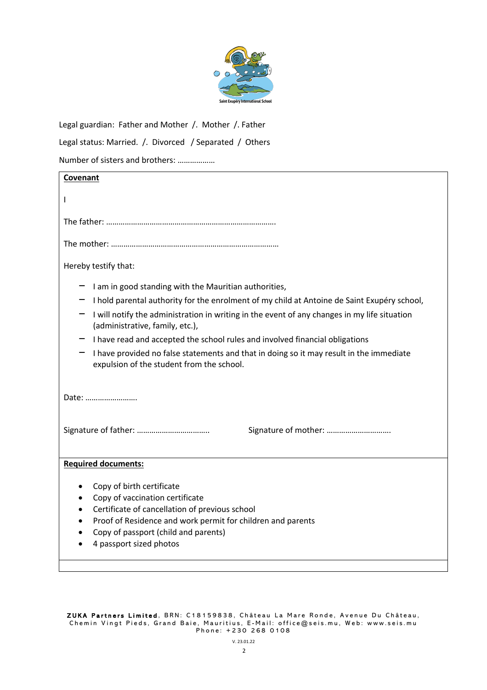

Legal guardian: Father and Mother /. Mother /. Father

Legal status: Married. /. Divorced / Separated / Others

Number of sisters and brothers: ………………

| Covenant                                                                                                                                                                                                                                                                                |  |
|-----------------------------------------------------------------------------------------------------------------------------------------------------------------------------------------------------------------------------------------------------------------------------------------|--|
|                                                                                                                                                                                                                                                                                         |  |
|                                                                                                                                                                                                                                                                                         |  |
|                                                                                                                                                                                                                                                                                         |  |
|                                                                                                                                                                                                                                                                                         |  |
| Hereby testify that:                                                                                                                                                                                                                                                                    |  |
| I am in good standing with the Mauritian authorities,                                                                                                                                                                                                                                   |  |
| I hold parental authority for the enrolment of my child at Antoine de Saint Exupéry school,                                                                                                                                                                                             |  |
| I will notify the administration in writing in the event of any changes in my life situation<br>(administrative, family, etc.),                                                                                                                                                         |  |
| I have read and accepted the school rules and involved financial obligations                                                                                                                                                                                                            |  |
| I have provided no false statements and that in doing so it may result in the immediate<br>expulsion of the student from the school.                                                                                                                                                    |  |
| Date:                                                                                                                                                                                                                                                                                   |  |
| Signature of mother:                                                                                                                                                                                                                                                                    |  |
| <b>Required documents:</b>                                                                                                                                                                                                                                                              |  |
| Copy of birth certificate<br>Copy of vaccination certificate<br>$\bullet$<br>Certificate of cancellation of previous school<br>$\bullet$<br>Proof of Residence and work permit for children and parents<br>$\bullet$<br>Copy of passport (child and parents)<br>4 passport sized photos |  |
|                                                                                                                                                                                                                                                                                         |  |

ZUKA Partners Limited, BRN: C18159838, Château La Mare Ronde, Avenue Du Château, Chemin Vingt Pieds, Grand Baie, Mauritius, E - Mail: office@seis.mu , Web: www.seis.mu Phone: +230 268 0108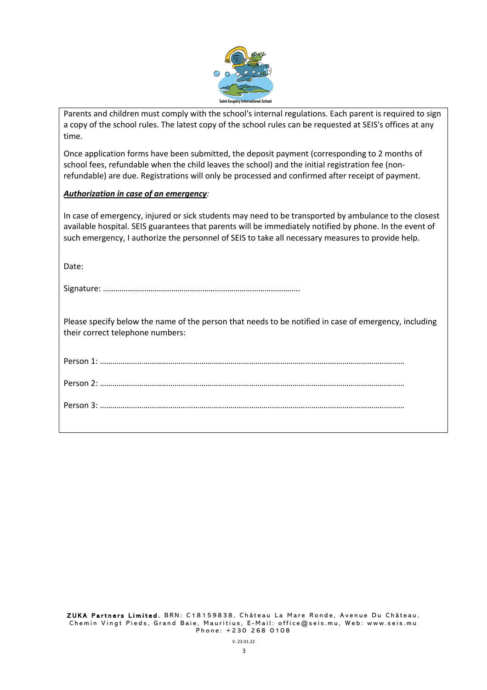

Parents and children must comply with the school's internal regulations. Each parent is required to sign a copy of the school rules. The latest copy of the school rules can be requested at SEIS's offices at any time.

Once application forms have been submitted, the deposit payment (corresponding to 2 months of school fees, refundable when the child leaves the school) and the initial registration fee (nonrefundable) are due. Registrations will only be processed and confirmed after receipt of payment.

### *Authorization in case of an emergency:*

In case of emergency, injured or sick students may need to be transported by ambulance to the closest available hospital. SEIS guarantees that parents will be immediately notified by phone. In the event of such emergency, I authorize the personnel of SEIS to take all necessary measures to provide help.

Date:

Please specify below the name of the person that needs to be notified in case of emergency, including their correct telephone numbers: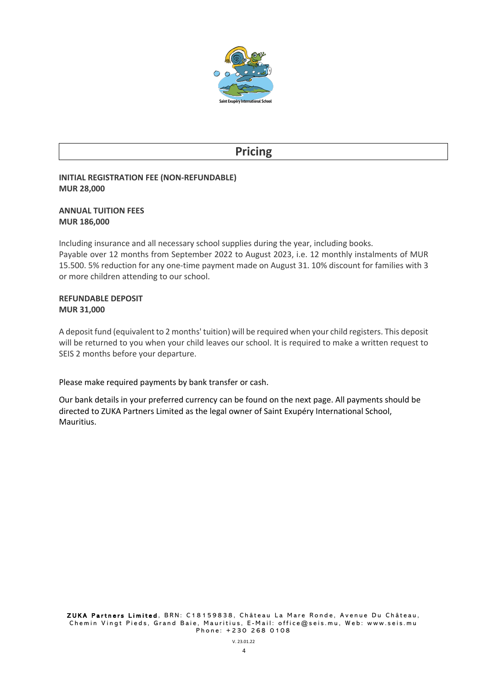

# **Pricing**

## **INITIAL REGISTRATION FEE (NON-REFUNDABLE) MUR 28,000**

### **ANNUAL TUITION FEES MUR 186,000**

Including insurance and all necessary school supplies during the year, including books. Payable over 12 months from September 2022 to August 2023, i.e. 12 monthly instalments of MUR 15.500. 5% reduction for any one-time payment made on August 31. 10% discount for families with 3 or more children attending to our school.

### **REFUNDABLE DEPOSIT MUR 31,000**

A deposit fund (equivalent to 2 months' tuition) will be required when your child registers. This deposit will be returned to you when your child leaves our school. It is required to make a written request to SEIS 2 months before your departure.

## Please make required payments by bank transfer or cash.

Our bank details in your preferred currency can be found on the next page. All payments should be directed to ZUKA Partners Limited as the legal owner of Saint Exupéry International School, Mauritius.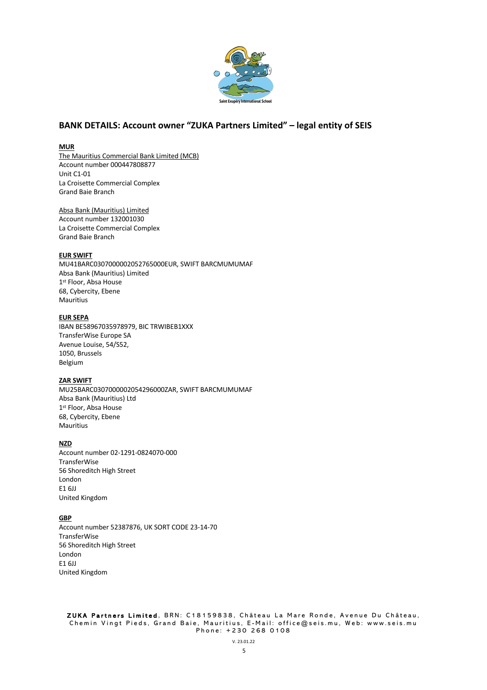

## **BANK DETAILS: Account owner "ZUKA Partners Limited" – legal entity of SEIS**

#### **MUR**

The Mauritius Commercial Bank Limited (MCB) Account number 000447808877 Unit C1-01 La Croisette Commercial Complex Grand Baie Branch

Absa Bank (Mauritius) Limited Account number 132001030 La Croisette Commercial Complex Grand Baie Branch

#### **EUR SWIFT**

MU41BARC0307000002052765000EUR, SWIFT BARCMUMUMAF Absa Bank (Mauritius) Limited 1st Floor, Absa House 68, Cybercity, Ebene Mauritius

#### **EUR SEPA**

IBAN BE58967035978979, BIC TRWIBEB1XXX TransferWise Europe SA Avenue Louise, 54/S52, 1050, Brussels Belgium

#### **ZAR SWIFT**

MU25BARC0307000002054296000ZAR, SWIFT BARCMUMUMAF Absa Bank (Mauritius) Ltd 1<sup>st</sup> Floor, Absa House 68, Cybercity, Ebene Mauritius

#### **NZD**

Account number 02-1291-0824070-000 **TransferWise** 56 Shoreditch High Street London E1 6JJ United Kingdom

#### **GBP**

Account number 52387876, UK SORT CODE 23-14-70 **TransferWise** 56 Shoreditch High Street London E1 6JJ United Kingdom

ZUKA Partners Limited , BRN: C18159838, Château La Mare Ronde, Avenue Du Château, Chemin Vingt Pieds, Grand Baie, Mauritius, E - Mail: office@seis.mu , Web: www.seis.mu Phone: +230 268 0108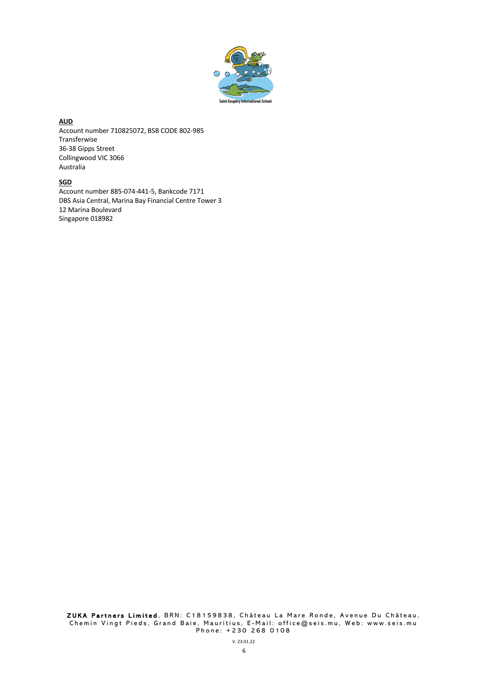

### **AUD**

Account number 710825072, BSB CODE 802-985 Transferwise 36-38 Gipps Street Collingwood VIC 3066 Australia

### **SGD**

Account number 885-074-441-5, Bankcode 7171 DBS Asia Central, Marina Bay Financial Centre Tower 3 12 Marina Boulevard Singapore 018982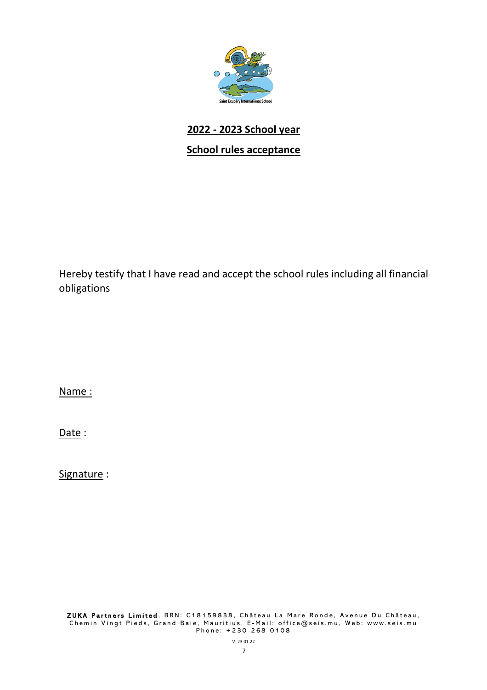

# **2022 - 2023 School year**

## **School rules acceptance**

Hereby testify that I have read and accept the school rules including all financial obligations

Name :

Date:

Signature :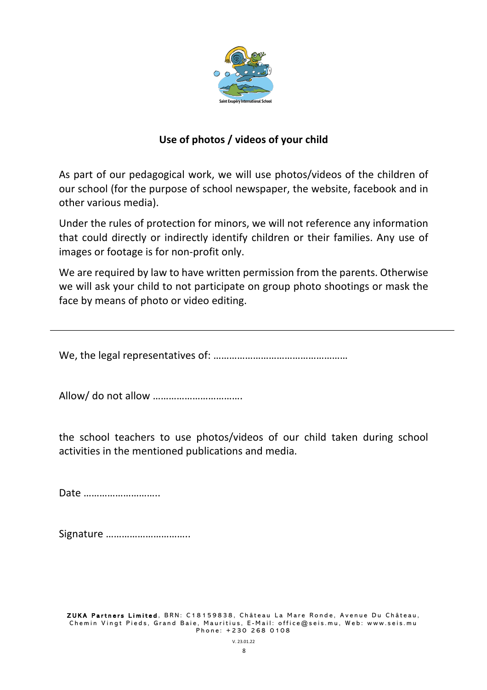

## **Use of photos / videos of your child**

As part of our pedagogical work, we will use photos/videos of the children of our school (for the purpose of school newspaper, the website, facebook and in other various media).

Under the rules of protection for minors, we will not reference any information that could directly or indirectly identify children or their families. Any use of images or footage is for non-profit only.

We are required by law to have written permission from the parents. Otherwise we will ask your child to not participate on group photo shootings or mask the face by means of photo or video editing.

We, the legal representatives of: ……………………………………………

Allow/ do not allow …………………………….

the school teachers to use photos/videos of our child taken during school activities in the mentioned publications and media.

Date ………………………..

Signature …………………………..

ZUKA Partners Limited, BRN: C18159838, Château La Mare Ronde, Avenue Du Château. Chemin Vingt Pieds, Grand Baie, Mauritius, E - Mail: office@seis.mu , Web: www.seis.mu Phone: +230 268 0108